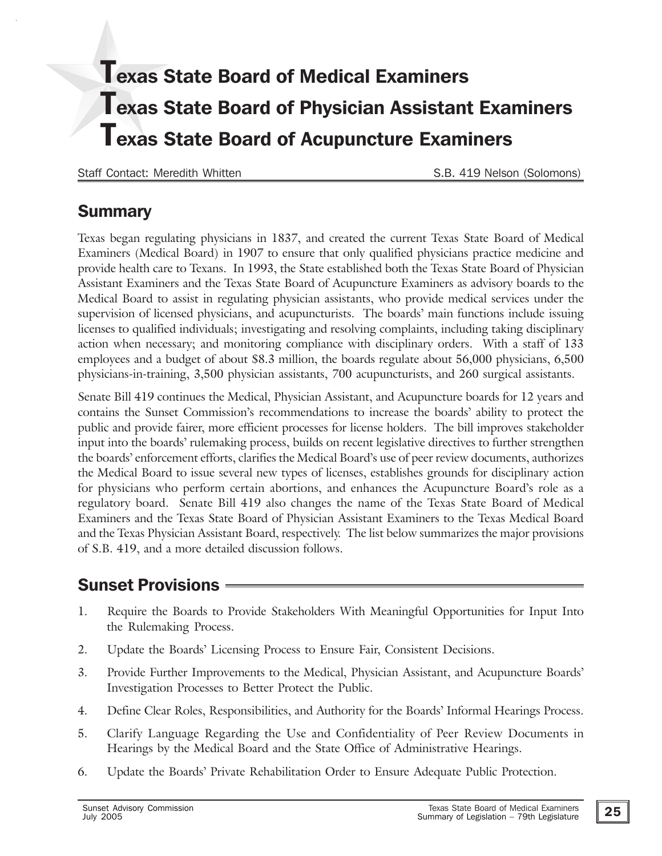# Texas State Board of Medical Examiners Texas State Board of Physician Assistant Examiners Texas State Board of Acupuncture Examiners

Staff Contact: Meredith Whitten S.B. 419 Nelson (Solomons)

### **Summary**

Texas began regulating physicians in 1837, and created the current Texas State Board of Medical Examiners (Medical Board) in 1907 to ensure that only qualified physicians practice medicine and provide health care to Texans. In 1993, the State established both the Texas State Board of Physician Assistant Examiners and the Texas State Board of Acupuncture Examiners as advisory boards to the Medical Board to assist in regulating physician assistants, who provide medical services under the supervision of licensed physicians, and acupuncturists. The boards' main functions include issuing licenses to qualified individuals; investigating and resolving complaints, including taking disciplinary action when necessary; and monitoring compliance with disciplinary orders. With a staff of 133 employees and a budget of about \$8.3 million, the boards regulate about 56,000 physicians, 6,500 physicians-in-training, 3,500 physician assistants, 700 acupuncturists, and 260 surgical assistants.

Senate Bill 419 continues the Medical, Physician Assistant, and Acupuncture boards for 12 years and contains the Sunset Commission's recommendations to increase the boards' ability to protect the public and provide fairer, more efficient processes for license holders. The bill improves stakeholder input into the boards' rulemaking process, builds on recent legislative directives to further strengthen the boards' enforcement efforts, clarifies the Medical Board's use of peer review documents, authorizes the Medical Board to issue several new types of licenses, establishes grounds for disciplinary action for physicians who perform certain abortions, and enhances the Acupuncture Board's role as a regulatory board. Senate Bill 419 also changes the name of the Texas State Board of Medical Examiners and the Texas State Board of Physician Assistant Examiners to the Texas Medical Board and the Texas Physician Assistant Board, respectively. The list below summarizes the major provisions of S.B. 419, and a more detailed discussion follows.

# Sunset Provisions

- 1. Require the Boards to Provide Stakeholders With Meaningful Opportunities for Input Into the Rulemaking Process.
- 2. Update the Boards' Licensing Process to Ensure Fair, Consistent Decisions.
- 3. Provide Further Improvements to the Medical, Physician Assistant, and Acupuncture Boards' Investigation Processes to Better Protect the Public.
- 4. Define Clear Roles, Responsibilities, and Authority for the Boards' Informal Hearings Process.
- 5. Clarify Language Regarding the Use and Confidentiality of Peer Review Documents in Hearings by the Medical Board and the State Office of Administrative Hearings.
- 6. Update the Boards' Private Rehabilitation Order to Ensure Adequate Public Protection.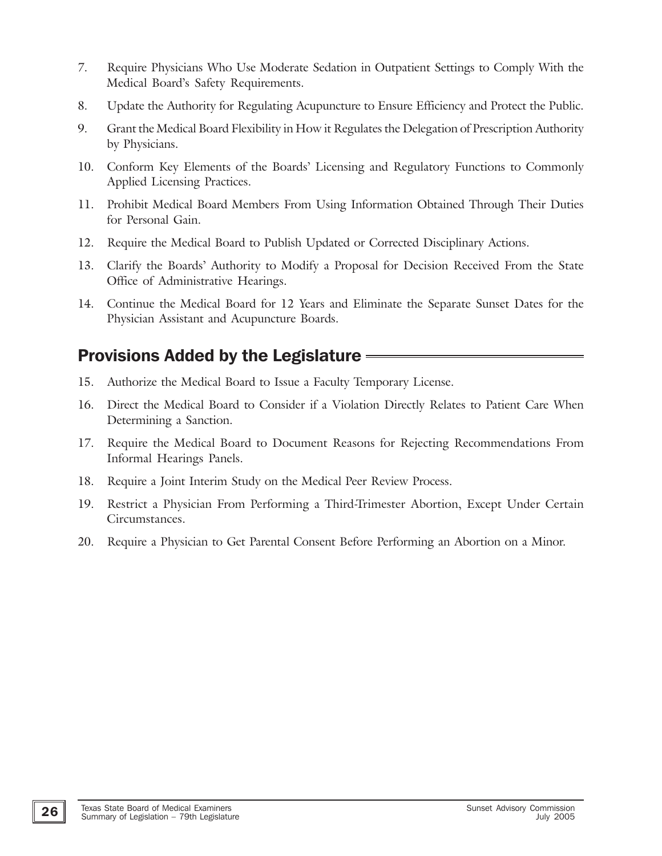- 7. Require Physicians Who Use Moderate Sedation in Outpatient Settings to Comply With the Medical Board's Safety Requirements.
- 8. Update the Authority for Regulating Acupuncture to Ensure Efficiency and Protect the Public.
- 9. Grant the Medical Board Flexibility in How it Regulates the Delegation of Prescription Authority by Physicians.
- 10. Conform Key Elements of the Boards' Licensing and Regulatory Functions to Commonly Applied Licensing Practices.
- 11. Prohibit Medical Board Members From Using Information Obtained Through Their Duties for Personal Gain.
- 12. Require the Medical Board to Publish Updated or Corrected Disciplinary Actions.
- 13. Clarify the Boards' Authority to Modify a Proposal for Decision Received From the State Office of Administrative Hearings.
- 14. Continue the Medical Board for 12 Years and Eliminate the Separate Sunset Dates for the Physician Assistant and Acupuncture Boards.

## Provisions Added by the Legislature

- 15. Authorize the Medical Board to Issue a Faculty Temporary License.
- 16. Direct the Medical Board to Consider if a Violation Directly Relates to Patient Care When Determining a Sanction.
- 17. Require the Medical Board to Document Reasons for Rejecting Recommendations From Informal Hearings Panels.
- 18. Require a Joint Interim Study on the Medical Peer Review Process.
- 19. Restrict a Physician From Performing a Third-Trimester Abortion, Except Under Certain Circumstances.
- 20. Require a Physician to Get Parental Consent Before Performing an Abortion on a Minor.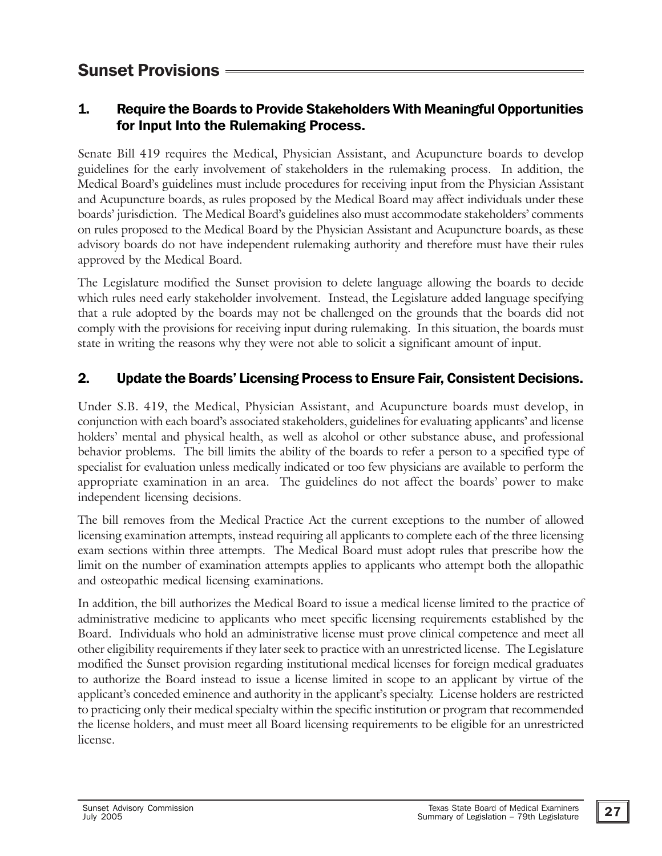## Sunset Provisions

#### 1. Require the Boards to Provide Stakeholders With Meaningful Opportunities for Input Into the Rulemaking Process.

Senate Bill 419 requires the Medical, Physician Assistant, and Acupuncture boards to develop guidelines for the early involvement of stakeholders in the rulemaking process. In addition, the Medical Board's guidelines must include procedures for receiving input from the Physician Assistant and Acupuncture boards, as rules proposed by the Medical Board may affect individuals under these boards' jurisdiction. The Medical Board's guidelines also must accommodate stakeholders' comments on rules proposed to the Medical Board by the Physician Assistant and Acupuncture boards, as these advisory boards do not have independent rulemaking authority and therefore must have their rules approved by the Medical Board.

The Legislature modified the Sunset provision to delete language allowing the boards to decide which rules need early stakeholder involvement. Instead, the Legislature added language specifying that a rule adopted by the boards may not be challenged on the grounds that the boards did not comply with the provisions for receiving input during rulemaking. In this situation, the boards must state in writing the reasons why they were not able to solicit a significant amount of input.

#### 2. Update the Boards' Licensing Process to Ensure Fair, Consistent Decisions.

Under S.B. 419, the Medical, Physician Assistant, and Acupuncture boards must develop, in conjunction with each board's associated stakeholders, guidelines for evaluating applicants' and license holders' mental and physical health, as well as alcohol or other substance abuse, and professional behavior problems. The bill limits the ability of the boards to refer a person to a specified type of specialist for evaluation unless medically indicated or too few physicians are available to perform the appropriate examination in an area. The guidelines do not affect the boards' power to make independent licensing decisions.

The bill removes from the Medical Practice Act the current exceptions to the number of allowed licensing examination attempts, instead requiring all applicants to complete each of the three licensing exam sections within three attempts. The Medical Board must adopt rules that prescribe how the limit on the number of examination attempts applies to applicants who attempt both the allopathic and osteopathic medical licensing examinations.

In addition, the bill authorizes the Medical Board to issue a medical license limited to the practice of administrative medicine to applicants who meet specific licensing requirements established by the Board. Individuals who hold an administrative license must prove clinical competence and meet all other eligibility requirements if they later seek to practice with an unrestricted license. The Legislature modified the Sunset provision regarding institutional medical licenses for foreign medical graduates to authorize the Board instead to issue a license limited in scope to an applicant by virtue of the applicant's conceded eminence and authority in the applicant's specialty. License holders are restricted to practicing only their medical specialty within the specific institution or program that recommended the license holders, and must meet all Board licensing requirements to be eligible for an unrestricted license.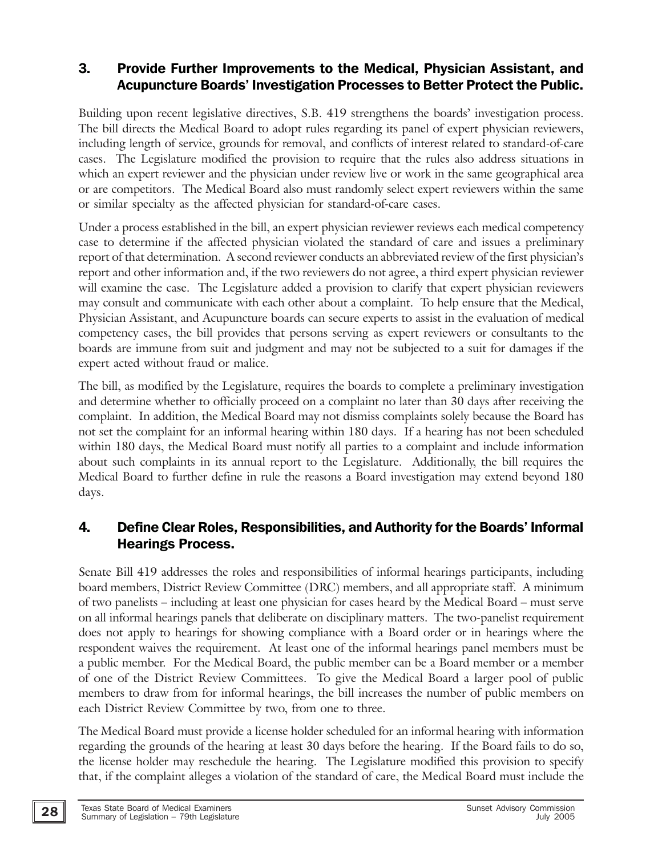#### 3. Provide Further Improvements to the Medical, Physician Assistant, and Acupuncture Boards' Investigation Processes to Better Protect the Public.

Building upon recent legislative directives, S.B. 419 strengthens the boards' investigation process. The bill directs the Medical Board to adopt rules regarding its panel of expert physician reviewers, including length of service, grounds for removal, and conflicts of interest related to standard-of-care cases. The Legislature modified the provision to require that the rules also address situations in which an expert reviewer and the physician under review live or work in the same geographical area or are competitors. The Medical Board also must randomly select expert reviewers within the same or similar specialty as the affected physician for standard-of-care cases.

Under a process established in the bill, an expert physician reviewer reviews each medical competency case to determine if the affected physician violated the standard of care and issues a preliminary report of that determination. A second reviewer conducts an abbreviated review of the first physician's report and other information and, if the two reviewers do not agree, a third expert physician reviewer will examine the case. The Legislature added a provision to clarify that expert physician reviewers may consult and communicate with each other about a complaint. To help ensure that the Medical, Physician Assistant, and Acupuncture boards can secure experts to assist in the evaluation of medical competency cases, the bill provides that persons serving as expert reviewers or consultants to the boards are immune from suit and judgment and may not be subjected to a suit for damages if the expert acted without fraud or malice.

The bill, as modified by the Legislature, requires the boards to complete a preliminary investigation and determine whether to officially proceed on a complaint no later than 30 days after receiving the complaint. In addition, the Medical Board may not dismiss complaints solely because the Board has not set the complaint for an informal hearing within 180 days. If a hearing has not been scheduled within 180 days, the Medical Board must notify all parties to a complaint and include information about such complaints in its annual report to the Legislature. Additionally, the bill requires the Medical Board to further define in rule the reasons a Board investigation may extend beyond 180 days.

#### 4. Define Clear Roles, Responsibilities, and Authority for the Boards' Informal Hearings Process.

Senate Bill 419 addresses the roles and responsibilities of informal hearings participants, including board members, District Review Committee (DRC) members, and all appropriate staff. A minimum of two panelists – including at least one physician for cases heard by the Medical Board – must serve on all informal hearings panels that deliberate on disciplinary matters. The two-panelist requirement does not apply to hearings for showing compliance with a Board order or in hearings where the respondent waives the requirement. At least one of the informal hearings panel members must be a public member. For the Medical Board, the public member can be a Board member or a member of one of the District Review Committees. To give the Medical Board a larger pool of public members to draw from for informal hearings, the bill increases the number of public members on each District Review Committee by two, from one to three.

The Medical Board must provide a license holder scheduled for an informal hearing with information regarding the grounds of the hearing at least 30 days before the hearing. If the Board fails to do so, the license holder may reschedule the hearing. The Legislature modified this provision to specify that, if the complaint alleges a violation of the standard of care, the Medical Board must include the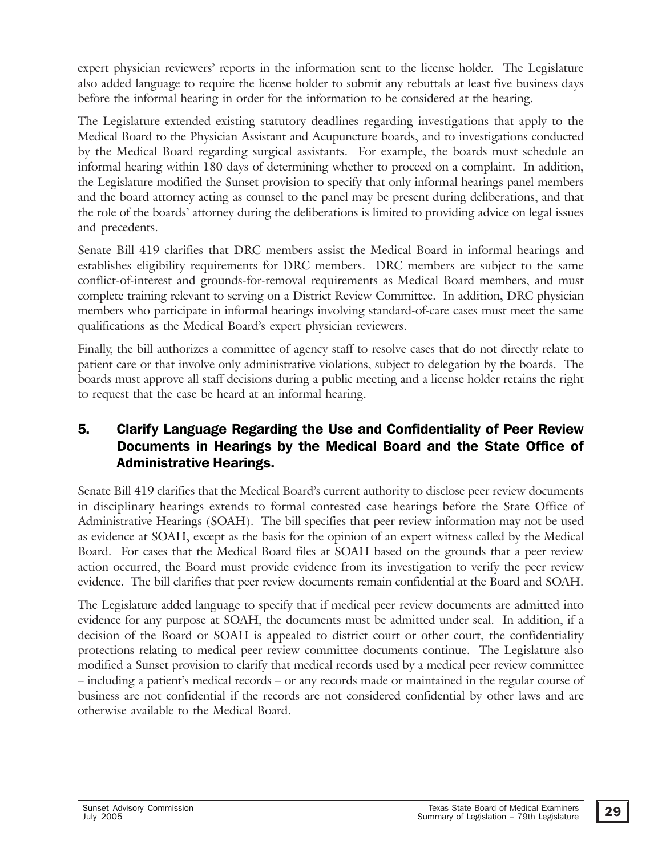expert physician reviewers' reports in the information sent to the license holder. The Legislature also added language to require the license holder to submit any rebuttals at least five business days before the informal hearing in order for the information to be considered at the hearing.

The Legislature extended existing statutory deadlines regarding investigations that apply to the Medical Board to the Physician Assistant and Acupuncture boards, and to investigations conducted by the Medical Board regarding surgical assistants. For example, the boards must schedule an informal hearing within 180 days of determining whether to proceed on a complaint. In addition, the Legislature modified the Sunset provision to specify that only informal hearings panel members and the board attorney acting as counsel to the panel may be present during deliberations, and that the role of the boards' attorney during the deliberations is limited to providing advice on legal issues and precedents.

Senate Bill 419 clarifies that DRC members assist the Medical Board in informal hearings and establishes eligibility requirements for DRC members. DRC members are subject to the same conflict-of-interest and grounds-for-removal requirements as Medical Board members, and must complete training relevant to serving on a District Review Committee. In addition, DRC physician members who participate in informal hearings involving standard-of-care cases must meet the same qualifications as the Medical Board's expert physician reviewers.

Finally, the bill authorizes a committee of agency staff to resolve cases that do not directly relate to patient care or that involve only administrative violations, subject to delegation by the boards. The boards must approve all staff decisions during a public meeting and a license holder retains the right to request that the case be heard at an informal hearing.

#### 5. Clarify Language Regarding the Use and Confidentiality of Peer Review Documents in Hearings by the Medical Board and the State Office of Administrative Hearings.

Senate Bill 419 clarifies that the Medical Board's current authority to disclose peer review documents in disciplinary hearings extends to formal contested case hearings before the State Office of Administrative Hearings (SOAH). The bill specifies that peer review information may not be used as evidence at SOAH, except as the basis for the opinion of an expert witness called by the Medical Board. For cases that the Medical Board files at SOAH based on the grounds that a peer review action occurred, the Board must provide evidence from its investigation to verify the peer review evidence. The bill clarifies that peer review documents remain confidential at the Board and SOAH.

The Legislature added language to specify that if medical peer review documents are admitted into evidence for any purpose at SOAH, the documents must be admitted under seal. In addition, if a decision of the Board or SOAH is appealed to district court or other court, the confidentiality protections relating to medical peer review committee documents continue. The Legislature also modified a Sunset provision to clarify that medical records used by a medical peer review committee – including a patient's medical records – or any records made or maintained in the regular course of business are not confidential if the records are not considered confidential by other laws and are otherwise available to the Medical Board.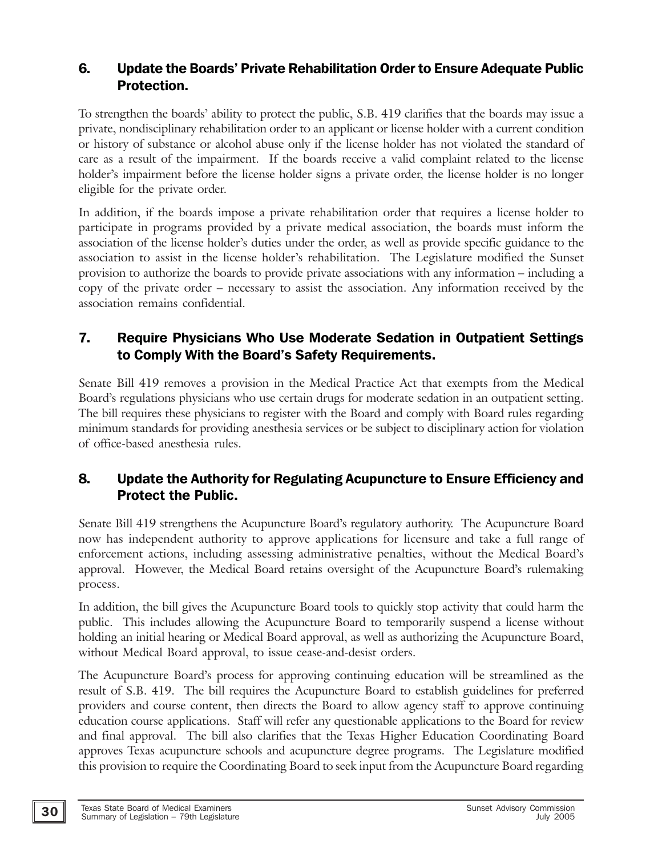#### 6. Update the Boards' Private Rehabilitation Order to Ensure Adequate Public Protection.

To strengthen the boards' ability to protect the public, S.B. 419 clarifies that the boards may issue a private, nondisciplinary rehabilitation order to an applicant or license holder with a current condition or history of substance or alcohol abuse only if the license holder has not violated the standard of care as a result of the impairment. If the boards receive a valid complaint related to the license holder's impairment before the license holder signs a private order, the license holder is no longer eligible for the private order.

In addition, if the boards impose a private rehabilitation order that requires a license holder to participate in programs provided by a private medical association, the boards must inform the association of the license holder's duties under the order, as well as provide specific guidance to the association to assist in the license holder's rehabilitation. The Legislature modified the Sunset provision to authorize the boards to provide private associations with any information – including a copy of the private order – necessary to assist the association. Any information received by the association remains confidential.

#### 7. Require Physicians Who Use Moderate Sedation in Outpatient Settings to Comply With the Board's Safety Requirements.

Senate Bill 419 removes a provision in the Medical Practice Act that exempts from the Medical Board's regulations physicians who use certain drugs for moderate sedation in an outpatient setting. The bill requires these physicians to register with the Board and comply with Board rules regarding minimum standards for providing anesthesia services or be subject to disciplinary action for violation of office-based anesthesia rules.

#### 8. Update the Authority for Regulating Acupuncture to Ensure Efficiency and Protect the Public.

Senate Bill 419 strengthens the Acupuncture Board's regulatory authority. The Acupuncture Board now has independent authority to approve applications for licensure and take a full range of enforcement actions, including assessing administrative penalties, without the Medical Board's approval. However, the Medical Board retains oversight of the Acupuncture Board's rulemaking process.

In addition, the bill gives the Acupuncture Board tools to quickly stop activity that could harm the public. This includes allowing the Acupuncture Board to temporarily suspend a license without holding an initial hearing or Medical Board approval, as well as authorizing the Acupuncture Board, without Medical Board approval, to issue cease-and-desist orders.

The Acupuncture Board's process for approving continuing education will be streamlined as the result of S.B. 419. The bill requires the Acupuncture Board to establish guidelines for preferred providers and course content, then directs the Board to allow agency staff to approve continuing education course applications. Staff will refer any questionable applications to the Board for review and final approval. The bill also clarifies that the Texas Higher Education Coordinating Board approves Texas acupuncture schools and acupuncture degree programs. The Legislature modified this provision to require the Coordinating Board to seek input from the Acupuncture Board regarding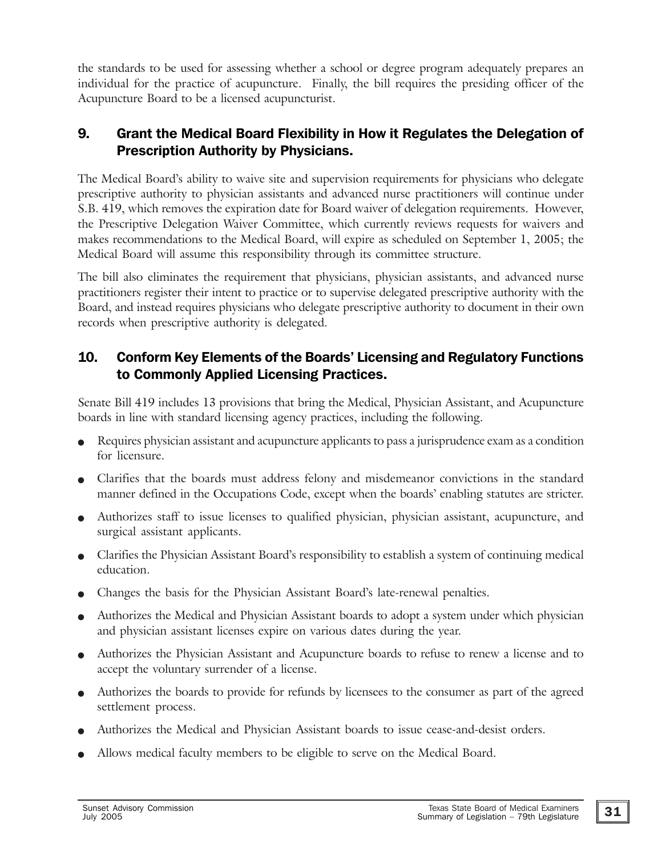the standards to be used for assessing whether a school or degree program adequately prepares an individual for the practice of acupuncture. Finally, the bill requires the presiding officer of the Acupuncture Board to be a licensed acupuncturist.

#### 9. Grant the Medical Board Flexibility in How it Regulates the Delegation of Prescription Authority by Physicians.

The Medical Board's ability to waive site and supervision requirements for physicians who delegate prescriptive authority to physician assistants and advanced nurse practitioners will continue under S.B. 419, which removes the expiration date for Board waiver of delegation requirements. However, the Prescriptive Delegation Waiver Committee, which currently reviews requests for waivers and makes recommendations to the Medical Board, will expire as scheduled on September 1, 2005; the Medical Board will assume this responsibility through its committee structure.

The bill also eliminates the requirement that physicians, physician assistants, and advanced nurse practitioners register their intent to practice or to supervise delegated prescriptive authority with the Board, and instead requires physicians who delegate prescriptive authority to document in their own records when prescriptive authority is delegated.

#### 10. Conform Key Elements of the Boards' Licensing and Regulatory Functions to Commonly Applied Licensing Practices.

Senate Bill 419 includes 13 provisions that bring the Medical, Physician Assistant, and Acupuncture boards in line with standard licensing agency practices, including the following.

- Requires physician assistant and acupuncture applicants to pass a jurisprudence exam as a condition for licensure.
- <sup>O</sup> Clarifies that the boards must address felony and misdemeanor convictions in the standard manner defined in the Occupations Code, except when the boards' enabling statutes are stricter.
- <sup>O</sup> Authorizes staff to issue licenses to qualified physician, physician assistant, acupuncture, and surgical assistant applicants.
- <sup>O</sup> Clarifies the Physician Assistant Board's responsibility to establish a system of continuing medical education.
- Changes the basis for the Physician Assistant Board's late-renewal penalties.
- Authorizes the Medical and Physician Assistant boards to adopt a system under which physician and physician assistant licenses expire on various dates during the year.
- Authorizes the Physician Assistant and Acupuncture boards to refuse to renew a license and to accept the voluntary surrender of a license.
- Authorizes the boards to provide for refunds by licensees to the consumer as part of the agreed settlement process.
- Authorizes the Medical and Physician Assistant boards to issue cease-and-desist orders.
- Allows medical faculty members to be eligible to serve on the Medical Board.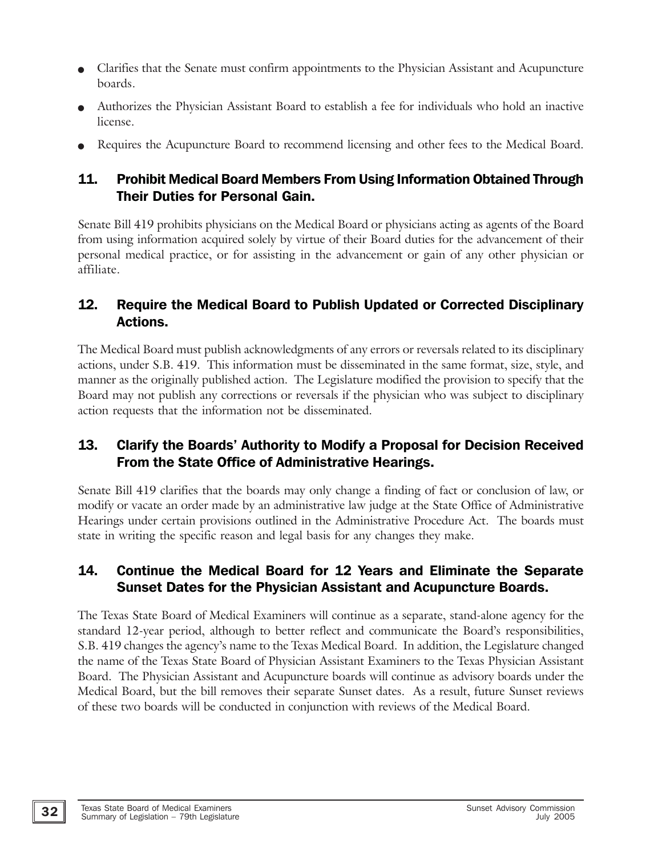- Clarifies that the Senate must confirm appointments to the Physician Assistant and Acupuncture boards.
- Authorizes the Physician Assistant Board to establish a fee for individuals who hold an inactive license.
- Requires the Acupuncture Board to recommend licensing and other fees to the Medical Board.

#### 11. Prohibit Medical Board Members From Using Information Obtained Through Their Duties for Personal Gain.

Senate Bill 419 prohibits physicians on the Medical Board or physicians acting as agents of the Board from using information acquired solely by virtue of their Board duties for the advancement of their personal medical practice, or for assisting in the advancement or gain of any other physician or affiliate.

#### 12. Require the Medical Board to Publish Updated or Corrected Disciplinary Actions.

The Medical Board must publish acknowledgments of any errors or reversals related to its disciplinary actions, under S.B. 419. This information must be disseminated in the same format, size, style, and manner as the originally published action. The Legislature modified the provision to specify that the Board may not publish any corrections or reversals if the physician who was subject to disciplinary action requests that the information not be disseminated.

#### 13. Clarify the Boards' Authority to Modify a Proposal for Decision Received From the State Office of Administrative Hearings.

Senate Bill 419 clarifies that the boards may only change a finding of fact or conclusion of law, or modify or vacate an order made by an administrative law judge at the State Office of Administrative Hearings under certain provisions outlined in the Administrative Procedure Act. The boards must state in writing the specific reason and legal basis for any changes they make.

#### 14. Continue the Medical Board for 12 Years and Eliminate the Separate Sunset Dates for the Physician Assistant and Acupuncture Boards.

The Texas State Board of Medical Examiners will continue as a separate, stand-alone agency for the standard 12-year period, although to better reflect and communicate the Board's responsibilities, S.B. 419 changes the agency's name to the Texas Medical Board. In addition, the Legislature changed the name of the Texas State Board of Physician Assistant Examiners to the Texas Physician Assistant Board. The Physician Assistant and Acupuncture boards will continue as advisory boards under the Medical Board, but the bill removes their separate Sunset dates. As a result, future Sunset reviews of these two boards will be conducted in conjunction with reviews of the Medical Board.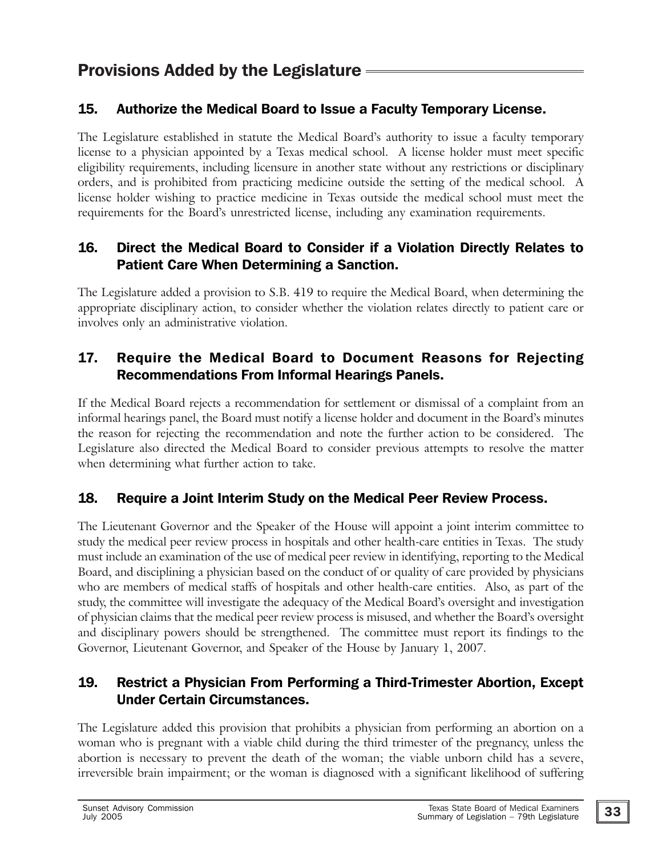#### 15. Authorize the Medical Board to Issue a Faculty Temporary License.

The Legislature established in statute the Medical Board's authority to issue a faculty temporary license to a physician appointed by a Texas medical school. A license holder must meet specific eligibility requirements, including licensure in another state without any restrictions or disciplinary orders, and is prohibited from practicing medicine outside the setting of the medical school. A license holder wishing to practice medicine in Texas outside the medical school must meet the requirements for the Board's unrestricted license, including any examination requirements.

#### 16. Direct the Medical Board to Consider if a Violation Directly Relates to Patient Care When Determining a Sanction.

The Legislature added a provision to S.B. 419 to require the Medical Board, when determining the appropriate disciplinary action, to consider whether the violation relates directly to patient care or involves only an administrative violation.

#### 17. Require the Medical Board to Document Reasons for Rejecting Recommendations From Informal Hearings Panels.

If the Medical Board rejects a recommendation for settlement or dismissal of a complaint from an informal hearings panel, the Board must notify a license holder and document in the Board's minutes the reason for rejecting the recommendation and note the further action to be considered. The Legislature also directed the Medical Board to consider previous attempts to resolve the matter when determining what further action to take.

#### 18. Require a Joint Interim Study on the Medical Peer Review Process.

The Lieutenant Governor and the Speaker of the House will appoint a joint interim committee to study the medical peer review process in hospitals and other health-care entities in Texas. The study must include an examination of the use of medical peer review in identifying, reporting to the Medical Board, and disciplining a physician based on the conduct of or quality of care provided by physicians who are members of medical staffs of hospitals and other health-care entities. Also, as part of the study, the committee will investigate the adequacy of the Medical Board's oversight and investigation of physician claims that the medical peer review process is misused, and whether the Board's oversight and disciplinary powers should be strengthened. The committee must report its findings to the Governor, Lieutenant Governor, and Speaker of the House by January 1, 2007.

#### 19. Restrict a Physician From Performing a Third-Trimester Abortion, Except Under Certain Circumstances.

The Legislature added this provision that prohibits a physician from performing an abortion on a woman who is pregnant with a viable child during the third trimester of the pregnancy, unless the abortion is necessary to prevent the death of the woman; the viable unborn child has a severe, irreversible brain impairment; or the woman is diagnosed with a significant likelihood of suffering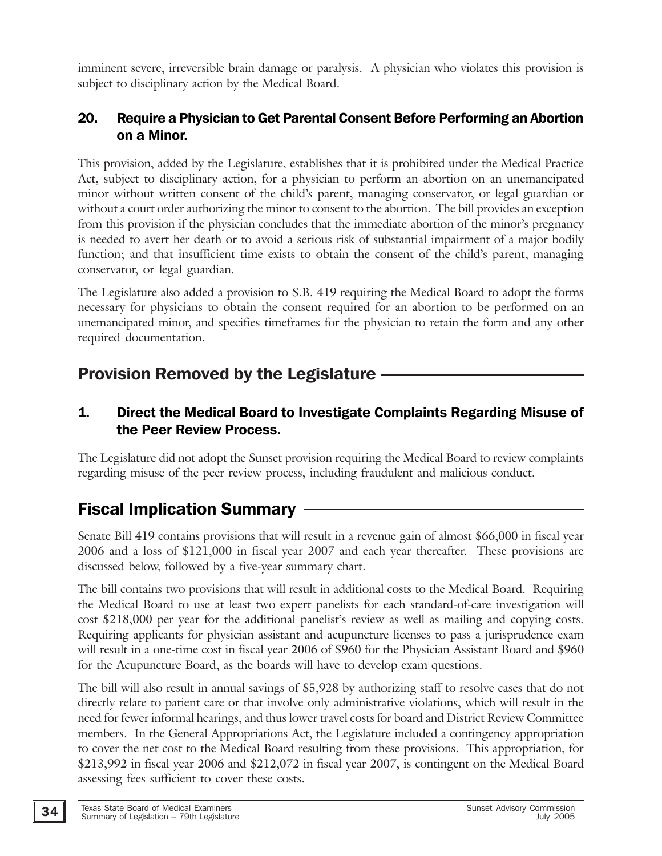imminent severe, irreversible brain damage or paralysis. A physician who violates this provision is subject to disciplinary action by the Medical Board.

#### 20. Require a Physician to Get Parental Consent Before Performing an Abortion on a Minor.

This provision, added by the Legislature, establishes that it is prohibited under the Medical Practice Act, subject to disciplinary action, for a physician to perform an abortion on an unemancipated minor without written consent of the child's parent, managing conservator, or legal guardian or without a court order authorizing the minor to consent to the abortion. The bill provides an exception from this provision if the physician concludes that the immediate abortion of the minor's pregnancy is needed to avert her death or to avoid a serious risk of substantial impairment of a major bodily function; and that insufficient time exists to obtain the consent of the child's parent, managing conservator, or legal guardian.

The Legislature also added a provision to S.B. 419 requiring the Medical Board to adopt the forms necessary for physicians to obtain the consent required for an abortion to be performed on an unemancipated minor, and specifies timeframes for the physician to retain the form and any other required documentation.

# Provision Removed by the Legislature

#### 1. Direct the Medical Board to Investigate Complaints Regarding Misuse of the Peer Review Process.

The Legislature did not adopt the Sunset provision requiring the Medical Board to review complaints regarding misuse of the peer review process, including fraudulent and malicious conduct.

# Fiscal Implication Summary

Senate Bill 419 contains provisions that will result in a revenue gain of almost \$66,000 in fiscal year 2006 and a loss of \$121,000 in fiscal year 2007 and each year thereafter. These provisions are discussed below, followed by a five-year summary chart.

The bill contains two provisions that will result in additional costs to the Medical Board. Requiring the Medical Board to use at least two expert panelists for each standard-of-care investigation will cost \$218,000 per year for the additional panelist's review as well as mailing and copying costs. Requiring applicants for physician assistant and acupuncture licenses to pass a jurisprudence exam will result in a one-time cost in fiscal year 2006 of \$960 for the Physician Assistant Board and \$960 for the Acupuncture Board, as the boards will have to develop exam questions.

The bill will also result in annual savings of \$5,928 by authorizing staff to resolve cases that do not directly relate to patient care or that involve only administrative violations, which will result in the need for fewer informal hearings, and thus lower travel costs for board and District Review Committee members. In the General Appropriations Act, the Legislature included a contingency appropriation to cover the net cost to the Medical Board resulting from these provisions. This appropriation, for \$213,992 in fiscal year 2006 and \$212,072 in fiscal year 2007, is contingent on the Medical Board assessing fees sufficient to cover these costs.